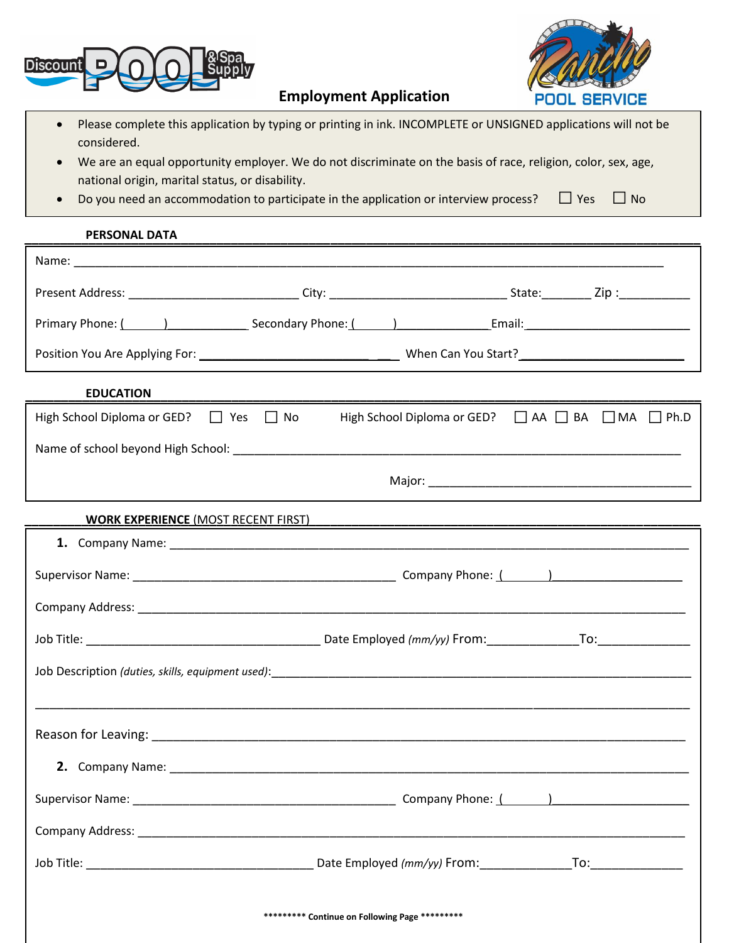



**Employment Application**

- Please complete this application by typing or printing in ink. INCOMPLETE or UNSIGNED applications will not be considered.
- We are an equal opportunity employer. We do not discriminate on the basis of race, religion, color, sex, age, national origin, marital status, or disability.
- Do you need an accommodation to participate in the application or interview process?  $\Box$  Yes  $\Box$  No

## **PERSONAL DATA**

| <b>PERSONAL DATA</b>                                                                                  |  |  |  |  |  |
|-------------------------------------------------------------------------------------------------------|--|--|--|--|--|
|                                                                                                       |  |  |  |  |  |
|                                                                                                       |  |  |  |  |  |
|                                                                                                       |  |  |  |  |  |
|                                                                                                       |  |  |  |  |  |
| <b>EDUCATION</b>                                                                                      |  |  |  |  |  |
| High School Diploma or GED? $\Box$ Yes $\Box$ No<br>High School Diploma or GED? □ AA □ BA □ MA □ Ph.D |  |  |  |  |  |
|                                                                                                       |  |  |  |  |  |
|                                                                                                       |  |  |  |  |  |
| <b>WORK EXPERIENCE (MOST RECENT FIRST)</b>                                                            |  |  |  |  |  |
|                                                                                                       |  |  |  |  |  |
|                                                                                                       |  |  |  |  |  |
|                                                                                                       |  |  |  |  |  |
|                                                                                                       |  |  |  |  |  |
|                                                                                                       |  |  |  |  |  |
|                                                                                                       |  |  |  |  |  |
|                                                                                                       |  |  |  |  |  |
|                                                                                                       |  |  |  |  |  |
|                                                                                                       |  |  |  |  |  |
|                                                                                                       |  |  |  |  |  |
|                                                                                                       |  |  |  |  |  |
|                                                                                                       |  |  |  |  |  |
| ********* Continue on Following Page *********                                                        |  |  |  |  |  |